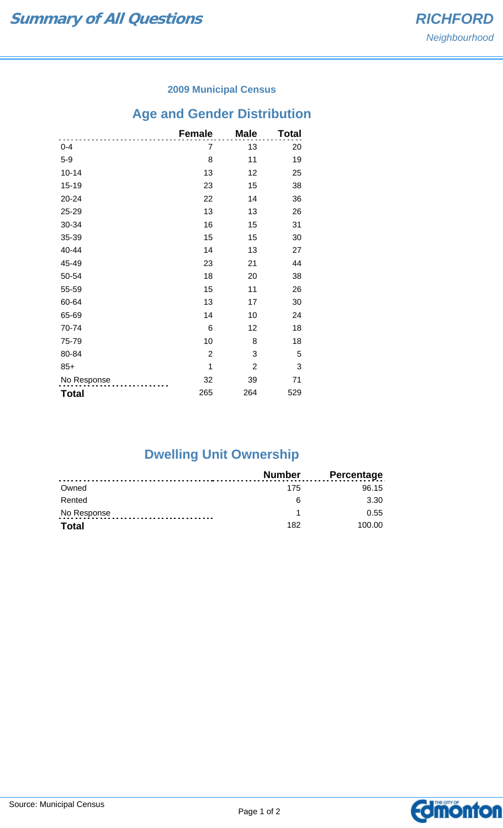### **2009 Municipal Census**

# **Age and Gender Distribution**

|              | <b>Female</b>  | <b>Male</b>    | Total |
|--------------|----------------|----------------|-------|
| $0 - 4$      | 7              | 13             | 20    |
| $5-9$        | 8              | 11             | 19    |
| $10 - 14$    | 13             | 12             | 25    |
| $15 - 19$    | 23             | 15             | 38    |
| $20 - 24$    | 22             | 14             | 36    |
| 25-29        | 13             | 13             | 26    |
| 30-34        | 16             | 15             | 31    |
| 35-39        | 15             | 15             | 30    |
| 40-44        | 14             | 13             | 27    |
| 45-49        | 23             | 21             | 44    |
| 50-54        | 18             | 20             | 38    |
| 55-59        | 15             | 11             | 26    |
| 60-64        | 13             | 17             | 30    |
| 65-69        | 14             | 10             | 24    |
| 70-74        | 6              | 12             | 18    |
| 75-79        | 10             | 8              | 18    |
| 80-84        | $\overline{2}$ | 3              | 5     |
| $85+$        | 1              | $\overline{2}$ | 3     |
| No Response  | 32             | 39             | 71    |
| <b>Total</b> | 265            | 264            | 529   |

## **Dwelling Unit Ownership**

|              | Number | <b>Percentage</b> |
|--------------|--------|-------------------|
| Owned        | 175    | 96.15             |
| Rented       | ิค     | 3.30              |
| No Response  |        | 0.55              |
| <b>Total</b> | 182    | 100.00            |